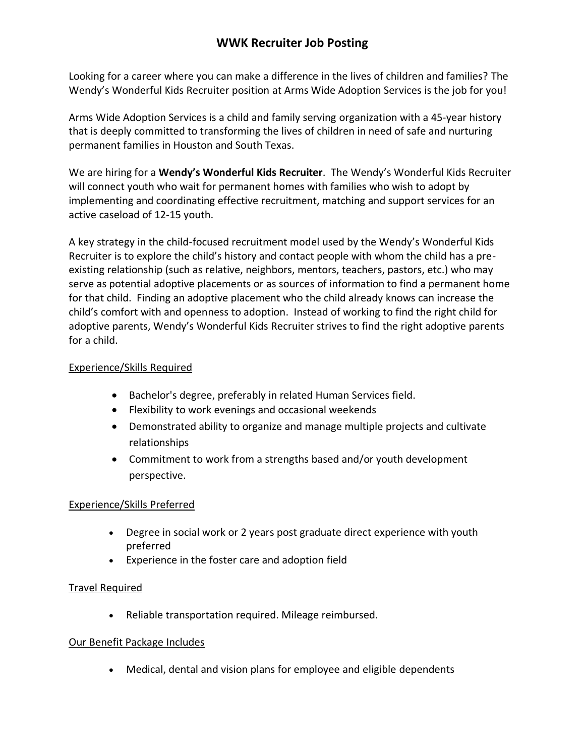# **WWK Recruiter Job Posting**

Looking for a career where you can make a difference in the lives of children and families? The Wendy's Wonderful Kids Recruiter position at Arms Wide Adoption Services is the job for you!

Arms Wide Adoption Services is a child and family serving organization with a 45-year history that is deeply committed to transforming the lives of children in need of safe and nurturing permanent families in Houston and South Texas.

We are hiring for a **Wendy's Wonderful Kids Recruiter**. The Wendy's Wonderful Kids Recruiter will connect youth who wait for permanent homes with families who wish to adopt by implementing and coordinating effective recruitment, matching and support services for an active caseload of 12-15 youth.

A key strategy in the child-focused recruitment model used by the Wendy's Wonderful Kids Recruiter is to explore the child's history and contact people with whom the child has a preexisting relationship (such as relative, neighbors, mentors, teachers, pastors, etc.) who may serve as potential adoptive placements or as sources of information to find a permanent home for that child. Finding an adoptive placement who the child already knows can increase the child's comfort with and openness to adoption. Instead of working to find the right child for adoptive parents, Wendy's Wonderful Kids Recruiter strives to find the right adoptive parents for a child.

### Experience/Skills Required

- Bachelor's degree, preferably in related Human Services field.
- Flexibility to work evenings and occasional weekends
- Demonstrated ability to organize and manage multiple projects and cultivate relationships
- Commitment to work from a strengths based and/or youth development perspective.

### Experience/Skills Preferred

- Degree in social work or 2 years post graduate direct experience with youth preferred
- Experience in the foster care and adoption field

### Travel Required

• Reliable transportation required. Mileage reimbursed.

### Our Benefit Package Includes

• Medical, dental and vision plans for employee and eligible dependents